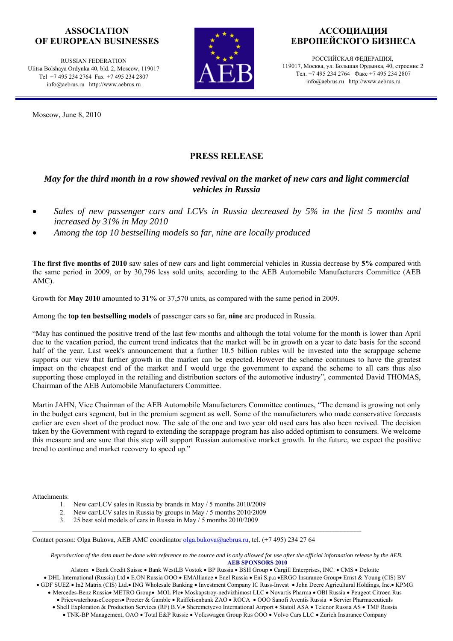### **ASSOCIATION OF EUROPEAN BUSINESSES**

RUSSIAN FEDERATION Ulitsa Bolshaya Ordynka 40, bld. 2, Moscow, 119017 Tel +7 495 234 2764 Fax +7 495 234 2807 info@aebrus.ru http://www.aebrus.ru

Moscow, June 8, 2010



## **АССОЦИАЦИЯ ЕВРОПЕЙСКОГО БИЗНЕСА**

РОССИЙСКАЯ ФЕДЕРАЦИЯ, 119017, Москва, ул. Большая Ордынка, 40, строение 2 Тел. +7 495 234 2764 Факс +7 495 234 2807 info@aebrus.ru http://www.aebrus.ru

# **PRESS RELEASE**

### *May for the third month in a row showed revival on the market of new cars and light commercial vehicles in Russia*

- *Sales of new passenger cars and LCVs in Russia decreased by 5% in the first 5 months and increased by 31% in May 2010*
- *Among the top 10 bestselling models so far, nine are locally produced*

**The first five months of 2010** saw sales of new cars and light commercial vehicles in Russia decrease by **5%** compared with the same period in 2009, or by 30,796 less sold units, according to the AEB Automobile Manufacturers Committee (AEB AMC).

Growth for **May 2010** amounted to **31%** or 37,570 units, as compared with the same period in 2009.

Among the **top ten bestselling models** of passenger cars so far, **nine** are produced in Russia.

"May has continued the positive trend of the last few months and although the total volume for the month is lower than April due to the vacation period, the current trend indicates that the market will be in growth on a year to date basis for the second half of the year. Last week's announcement that a further 10.5 billion rubles will be invested into the scrappage scheme supports our view that further growth in the market can be expected. However the scheme continues to have the greatest impact on the cheapest end of the market and I would urge the government to expand the scheme to all cars thus also supporting those employed in the retailing and distribution sectors of the automotive industry", commented David THOMAS, Chairman of the AEB Automobile Manufacturers Committee.

Martin JAHN, Vice Chairman of the AEB Automobile Manufacturers Committee continues, "The demand is growing not only in the budget cars segment, but in the premium segment as well. Some of the manufacturers who made conservative forecasts earlier are even short of the product now. The sale of the one and two year old used cars has also been revived. The decision taken by the Government with regard to extending the scrappage program has also added optimism to consumers. We welcome this measure and are sure that this step will support Russian automotive market growth. In the future, we expect the positive trend to continue and market recovery to speed up."

Attachments:

- 1. New car/LCV sales in Russia by brands in May / 5 months 2010/2009
- 2. New car/LCV sales in Russia by groups in May / 5 months 2010/2009
- 3. 25 best sold models of cars in Russia in May / 5 months 2010/2009

Contact person: Olga Bukova, AEB AMC coordinator olga.bukova@aebrus.ru, tel. (+7 495) 234 27 64

*Reproduction of the data must be done with reference to the source and is only allowed for use after the official information release by the AEB.*  **AEB SPONSORS 2010** 

Alstom • Bank Credit Suisse • Bank WestLB Vostok • BP Russia • BSH Group • Cargill Enterprises, INC. • CMS • Deloitte

• DHL International (Russia) Ltd • E.ON Russia OOO • EMAlliance • Enel Russia • Eni S.p.a •ERGO Insurance Group• Ernst & Young (CIS) BV • GDF SUEZ • In2 Matrix (CIS) Ltd.• ING Wholesale Banking • Investment Company IC Russ-Invest • John Deere Agricultural Holdings, Inc.• KPMG

- Mercedes-Benz Russia• METRO Group• MOL Plc• Moskapstroy-nedvizhimost LLC Novartis Pharma OBI Russia Peugeot Citroen Rus • PricewaterhouseCoopers• Procter & Gamble • Raiffeisenbank ZAO • ROCA • OOO Sanofi Aventis Russia • Servier Pharmaceuticals
	- Shell Exploration & Production Services (RF) B.V.• Sheremetyevo International Airport Statoil ASA Telenor Russia AS TMF Russia
		- TNK-BP Management, OAO Total E&P Russie Volkswagen Group Rus OOO Volvo Cars LLC Zurich Insurance Company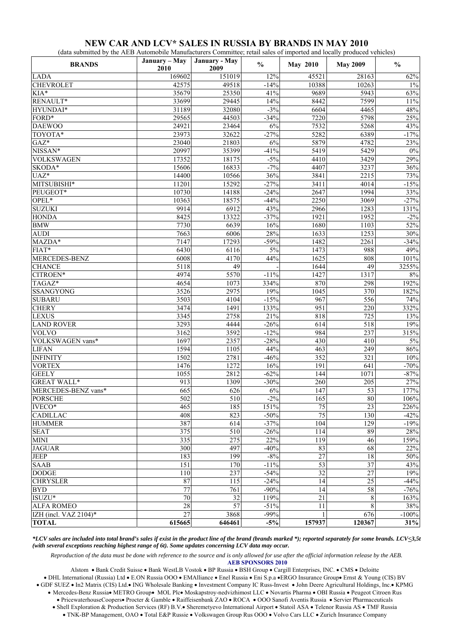#### **NEW CAR AND LCV\* SALES IN RUSSIA BY BRANDS IN MAY 2010**

(data submitted by the AEB Automobile Manufacturers Committee; retail sales of imported and locally produced vehicles)

| <b>BRANDS</b>         | January - May<br>2010 | January - May<br>2009 | $\frac{0}{0}$ | <b>May 2010</b> | <b>May 2009</b>  | $\frac{6}{9}$ |
|-----------------------|-----------------------|-----------------------|---------------|-----------------|------------------|---------------|
| <b>LADA</b>           | 169602                | 151019                | 12%           | 45521           | 28163            | 62%           |
| <b>CHEVROLET</b>      | 42575                 | 49518                 | $-14%$        | 10388           | 10263            | $1\%$         |
| KIA*                  | 35679                 | 25350                 | 41%           | 9689            | 5943             | 63%           |
| RENAULT*              | 33699                 | 29445                 | 14%           | 8442            | 7599             | $11\%$        |
| HYUNDAI*              | 31189                 | 32080                 | $-3%$         | 6604            | 4465             | 48%           |
| FORD*                 | 29565                 | 44503                 | $-34%$        | 7220            | 5798             | 25%           |
| <b>DAEWOO</b>         | 24921                 | 23464                 | 6%            | 7532            | 5268             | 43%           |
| TOYOTA*               | 23973                 | 32622                 | $-27%$        | 5282            | 6389             | $-17%$        |
| $GAZ^*$               | 23040                 | 21803                 | 6%            | 5879            | 4782             | 23%           |
| NISSAN*               | 20997                 | 35399                 | $-41%$        | 5419            | 5429             | $0\%$         |
| <b>VOLKSWAGEN</b>     | 17352                 | 18175                 | $-5%$         | 4410            | 3429             | 29%           |
| SKODA*                | 15606                 | 16833                 | $-7%$         | 4407            | 3237             | 36%           |
| $UAZ^*$               | 14400                 | 10566                 | 36%           | 3841            | 2215             | 73%           |
| MITSUBISHI*           | 11201                 | 15292                 | $-27%$        | 3411            | 4014             | $-15%$        |
| PEUGEOT*              | 10730                 | 14188                 | $-24%$        | 2647            | 1994             | 33%           |
| OPEL*                 | 10363                 | 18575                 | $-44%$        | 2250            | 3069             | $-27%$        |
| <b>SUZUKI</b>         | 9914                  | 6912                  | 43%           | 2966            | 1283             | 131%          |
| <b>HONDA</b>          | 8425                  | 13322                 | $-37%$        | 1921            | 1952             | $-2\%$        |
| <b>BMW</b>            | 7730                  | 6639                  | $16\%$        | 1680            | 1103             | 52%           |
| <b>AUDI</b>           | 7663                  | 6006                  | 28%           | 1633            | 1253             | $30\%$        |
| MAZDA*                | 7147                  | 17293                 | $-59%$        | 1482            | 2261             | $-34%$        |
| FIAT*                 | 6430                  | 6116                  | $5\%$         | 1473            | 988              | 49%           |
| MERCEDES-BENZ         | 6008                  | 4170                  | 44%           | 1625            | 808              | 101%          |
| <b>CHANCE</b>         | 5118                  | 49                    |               | 1644            | 49               | 3255%         |
| CITROEN*              | 4974                  | 5570                  | $-11%$        | 1427            | 1317             | $8\%$         |
| TAGAZ*                | 4654                  | 1073                  | 334%          | 870             | 298              | 192%          |
| <b>SSANGYONG</b>      | 3526                  | 2975                  | 19%           | 1045            | 370              | 182%          |
| <b>SUBARU</b>         | 3503                  | 4104                  | $-15%$        | 967             | 556              | 74%           |
| <b>CHERY</b>          | 3474                  | 1491                  | 133%          | 951             | 220              | 332%          |
| <b>LEXUS</b>          | 3345                  | 2758                  | 21%           | 818             | 725              | 13%           |
| <b>LAND ROVER</b>     | 3293                  | 4444                  | $-26%$        | 614             | 518              | 19%           |
| <b>VOLVO</b>          | 3162                  | 3592                  | $-12%$        | 984             | 237              | 315%          |
| VOLKSWAGEN vans*      | 1697                  | 2357                  | $-28%$        | 430             | 410              | 5%            |
| <b>LIFAN</b>          | 1594                  | 1105                  | 44%           | 463             | 249              | $86\%$        |
| <b>INFINITY</b>       | 1502                  | 2781                  | $-46%$        | 352             | $\overline{321}$ | $10\%$        |
| <b>VORTEX</b>         | 1476                  | 1272                  | 16%           | 191             | 641              | $-70%$        |
| <b>GEELY</b>          | 1055                  | 2812                  | $-62%$        | 144             | 1071             | $-87%$        |
| <b>GREAT WALL*</b>    | 913                   | 1309                  | $-30%$        | 260             | $20\overline{5}$ | 27%           |
| MERCEDES-BENZ vans*   | 665                   | 626                   | 6%            | 147             | 53               | 177%          |
| <b>PORSCHE</b>        | 502                   | 510                   | $-2\%$        | 165             | 80               | 106%          |
| $IVECO*$              | 465                   | 185                   | 151%          | $\overline{75}$ | 23               | 226%          |
| <b>CADILLAC</b>       | 408                   | 823                   | $-50%$        | 75              | 130              | $-42%$        |
| <b>HUMMER</b>         | 387                   | 614                   | $-37%$        | 104             | 129              | $-19%$        |
| <b>SEAT</b>           | 375                   | 510                   | $-26%$        | 114             | 89               | 28%           |
| <b>MINI</b>           | 335                   | 275                   | 22%           | 119             | 46               | 159%          |
| <b>JAGUAR</b>         | $\overline{300}$      | 497                   | $-40%$        | 83              | 68               | 22%           |
| <b>JEEP</b>           | 183                   | 199                   | $-8%$         | 27              | 18               | $50\%$        |
| <b>SAAB</b>           | 151                   | 170                   | $-11%$        | $\overline{53}$ | $\overline{37}$  | 43%           |
| <b>DODGE</b>          | 110                   | 237                   | $-54%$        | 32              | $\overline{27}$  | 19%           |
| <b>CHRYSLER</b>       | 87                    | 115                   | $-24%$        | 14              | 25               | $-44%$        |
| <b>BYD</b>            | 77                    | 761                   | $-90%$        | 14              | 58               | $-76%$        |
| $ISUZU^*$             | $\overline{70}$       | 32                    | 119%          | $\overline{21}$ | $\,$ 8 $\,$      | 163%          |
| <b>ALFA ROMEO</b>     | 28                    | $\overline{57}$       | $-51%$        | 11              | $\,$ 8 $\,$      | 38%           |
| IZH (incl. VAZ 2104)* | $\overline{27}$       | 3868                  | $-99%$        | $\mathbf{1}$    | 676              | $-100%$       |
| <b>TOTAL</b>          | 615665                | 646461                | $-5\%$        | 157937          | 120367           | 31%           |

*\*LCV sales are included into total brand's sales if exist in the product line of the brand (brands marked \*); reported separately for some brands. LCV<3,5t (with several exceptions reaching highest range of 6t). Some updates concerning LCV data may occur.* 

*Reproduction of the data must be done with reference to the source and is only allowed for use after the official information release by the AEB.*  **AEB SPONSORS 2010** 

Alstom • Bank Credit Suisse • Bank WestLB Vostok • BP Russia • BSH Group • Cargill Enterprises, INC. • CMS • Deloitte

• DHL International (Russia) Ltd • E.ON Russia OOO • EMAlliance • Enel Russia • Eni S.p.a •ERGO Insurance Group• Ernst & Young (CIS) BV

• GDF SUEZ • In2 Matrix (CIS) Ltd.• ING Wholesale Banking • Investment Company IC Russ-Invest • John Deere Agricultural Holdings, Inc.• KPMG

• Mercedes-Benz Russia• METRO Group• MOL Plc• Moskapstroy-nedvizhimost LLC • Novartis Pharma • OBI Russia • Peugeot Citroen Rus

• PricewaterhouseCoopers• Procter & Gamble • Raiffeisenbank ZAO • ROCA • OOO Sanofi Aventis Russia • Servier Pharmaceuticals

• Shell Exploration & Production Services (RF) B.V.• Sheremetyevo International Airport • Statoil ASA • Telenor Russia AS • TMF Russia

• TNK-BP Management, OAO • Total E&P Russie • Volkswagen Group Rus OOO • Volvo Cars LLC • Zurich Insurance Company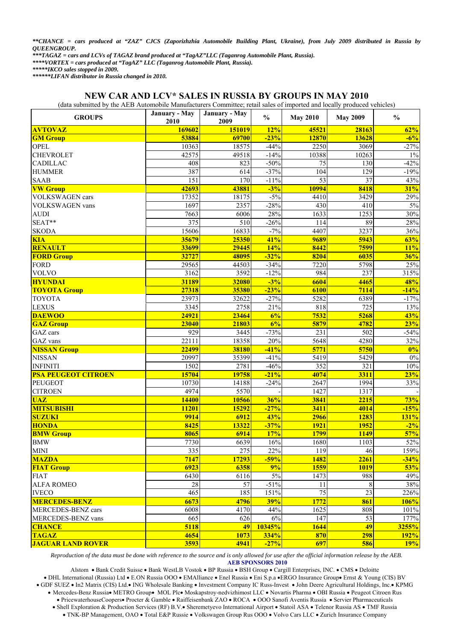*\*\*CHANCE = cars produced at "ZAZ" CJCS (Zaporizhzhia Automobile Building Plant, Ukraine), from July 2009 distributed in Russia by QUEENGROUP.* 

*\*\*\*TAGAZ = cars and LCVs of TAGAZ brand produced at "TagAZ"LLC (Taganrog Automobile Plant, Russia).* 

*\*\*\*\*VORTEX = cars produced at "TagAZ" LLC (Taganrog Automobile Plant, Russia).* 

*\*\*\*\*\*IKCO sales stopped in 2009.* 

*\*\*\*\*\*\*LIFAN distributor in Russia changed in 2010.* 

#### **NEW CAR AND LCV\* SALES IN RUSSIA BY GROUPS IN MAY 2010**

(data submitted by the AEB Automobile Manufacturers Committee; retail sales of imported and locally produced vehicles)

| <b>GROUPS</b>              | January - May<br>January - May<br>2010<br>2009 |        | $\frac{0}{0}$ | <b>May 2010</b> | <b>May 2009</b> | $\frac{0}{0}$ |
|----------------------------|------------------------------------------------|--------|---------------|-----------------|-----------------|---------------|
| <b>AVTOVAZ</b>             | 169602                                         | 151019 | 12%           | 45521           | 28163           | 62%           |
| <b>GM Group</b>            | 53884                                          | 69700  | $-23%$        | 12870           | 13628           | $-6%$         |
| <b>OPEL</b>                | 10363                                          | 18575  | $-44%$        | 2250            | 3069            | $-27%$        |
| <b>CHEVROLET</b>           | 42575                                          | 49518  | $-14%$        | 10388           | 10263           | $1\%$         |
| <b>CADILLAC</b>            | 408                                            | 823    | $-50%$        | 75              | 130             | $-42%$        |
| <b>HUMMER</b>              | 387                                            | 614    | $-37%$        | 104             | 129             | $-19%$        |
| <b>SAAB</b>                | 151                                            | 170    | $-11%$        | 53              | 37              | 43%           |
| <b>VW Group</b>            | 42693                                          | 43881  | $-3%$         | 10994           | 8418            | 31%           |
| <b>VOLKSWAGEN</b> cars     | 17352                                          | 18175  | $-5%$         | 4410            | 3429            | 29%           |
| <b>VOLKSWAGEN</b> vans     | 1697                                           | 2357   | $-28%$        | 430             | 410             | 5%            |
| <b>AUDI</b>                | 7663                                           | 6006   | 28%           | 1633            | 1253            | 30%           |
| SEAT**                     | $\overline{375}$                               | 510    | $-26%$        | 114             | 89              | 28%           |
| <b>SKODA</b>               | 15606                                          | 16833  | $-7%$         | 4407            | 3237            | 36%           |
| <b>KIA</b>                 | 35679                                          | 25350  | 41%           | 9689            | 5943            | 63%           |
| <b>RENAULT</b>             | 33699                                          | 29445  | 14%           | 8442            | 7599            | 11%           |
| <b>FORD Group</b>          | 32727                                          | 48095  | $-32%$        | 8204            | 6035            | 36%           |
| <b>FORD</b>                | 29565                                          | 44503  | $-34%$        | 7220            | 5798            | 25%           |
| <b>VOLVO</b>               | 3162                                           | 3592   | $-12%$        | 984             | 237             | 315%          |
| <b>HYUNDAI</b>             | 31189                                          | 32080  | $-3%$         | 6604            | 4465            | 48%           |
| <b>TOYOTA Group</b>        | 27318                                          | 35380  | $-23%$        | 6100            | 7114            | $-14%$        |
| <b>TOYOTA</b>              | 23973                                          | 32622  | $-27%$        | 5282            | 6389            | $-17%$        |
| <b>LEXUS</b>               | 3345                                           | 2758   | 21%           | 818             | 725             | 13%           |
| <b>DAEWOO</b>              | 24921                                          | 23464  | 6%            | 7532            | 5268            | 43%           |
| <b>GAZ Group</b>           | 23040                                          | 21803  | 6%            | 5879            | 4782            | 23%           |
| GAZ cars                   | 929                                            | 3445   | $-73%$        | 231             | 502             | $-54%$        |
| GAZ vans                   | 22111                                          | 18358  | 20%           | 5648            | 4280            | 32%           |
| <b>NISSAN Group</b>        | 22499                                          | 38180  | $-41%$        | 5771            | 5750            | 0%            |
| <b>NISSAN</b>              | 20997                                          | 35399  | $-41%$        | 5419            | 5429            | $0\%$         |
| <b>INFINITI</b>            | 1502                                           | 2781   | $-46%$        | 352             | 321             | $10\%$        |
| <b>PSA PEUGEOT CITROEN</b> | 15704                                          | 19758  | $-21%$        | 4074            | 3311            | 23%           |
| <b>PEUGEOT</b>             | 10730                                          | 14188  | $-24%$        | 2647            | 1994            | 33%           |
| <b>CITROEN</b>             | 4974                                           | 5570   |               | 1427            | 1317            |               |
| <b>UAZ</b>                 | <b>14400</b>                                   | 10566  | 36%           | 3841            | 2215            | 73%           |
| <b>MITSUBISHI</b>          | 11201                                          | 15292  | $-27%$        | 3411            | 4014            | $-15%$        |
| <b>SUZUKI</b>              | 9914                                           | 6912   | 43%           | 2966            | 1283            | 131%          |
| <b>HONDA</b>               | 8425                                           | 13322  | $-37%$        | <b>1921</b>     | 1952            | $-2%$         |
| <b>BMW Group</b>           | 8065                                           | 6914   | 17%           | 1799            | 1149            | 57%           |
| <b>BMW</b>                 | 7730                                           | 6639   | 16%           | 1680            | 1103            | 52%           |
| <b>MINI</b>                | 335                                            | 275    | 22%           | 119             | 46              | 159%          |
| <b>MAZDA</b>               | 7147                                           | 17293  | $-59%$        | 1482            | 2261            | $-34%$        |
| <b>FIAT Group</b>          | 6923                                           | 6358   | 9%            | 1559            | <b>1019</b>     | 53%           |
| <b>FIAT</b>                | 6430                                           | 6116   | $5\%$         | 1473            | 988             | 49%           |
| <b>ALFA ROMEO</b>          | $28\,$                                         | 57     | $-51%$        | 11              | $\,8\,$         | 38%           |
| <b>IVECO</b>               | 465                                            | 185    | 151%          | $\overline{75}$ | $\overline{23}$ | 226%          |
| <b>MERCEDES-BENZ</b>       | 6673                                           | 4796   | 39%           | 1772            | 861             | 106%          |
| MERCEDES-BENZ cars         | 6008                                           | 4170   | 44%           | 1625            | 808             | 101%          |
| MERCEDES-BENZ vans         | 665                                            | 626    | $6\%$         | 147             | 53              | 177%          |
| <b>CHANCE</b>              | 5118                                           | 49     | 10345%        | 1644            | 49              | 3255%         |
| <b>TAGAZ</b>               | 4654                                           | 1073   | 334%          | 870             | <b>298</b>      | <b>192%</b>   |
| <b>JAGUAR LAND ROVER</b>   | 3593                                           | 4941   | $-27%$        | 697             | 586             | 19%           |

*Reproduction of the data must be done with reference to the source and is only allowed for use after the official information release by the AEB.*  **AEB SPONSORS 2010** 

Alstom • Bank Credit Suisse • Bank WestLB Vostok • BP Russia • BSH Group • Cargill Enterprises, INC. • CMS • Deloitte • DHL International (Russia) Ltd • E.ON Russia OOO • EMAlliance • Enel Russia • Eni S.p.a •ERGO Insurance Group• Ernst & Young (CIS) BV • GDF SUEZ • In2 Matrix (CIS) Ltd.• ING Wholesale Banking • Investment Company IC Russ-Invest • John Deere Agricultural Holdings, Inc.• KPMG • Mercedes-Benz Russia• METRO Group• MOL Plc• Moskapstroy-nedvizhimost LLC • Novartis Pharma • OBI Russia • Peugeot Citroen Rus • PricewaterhouseCoopers• Procter & Gamble • Raiffeisenbank ZAO • ROCA • OOO Sanofi Aventis Russia • Servier Pharmaceuticals • Shell Exploration & Production Services (RF) B.V.• Sheremetyevo International Airport • Statoil ASA • Telenor Russia AS • TMF Russia

• TNK-BP Management, OAO • Total E&P Russie • Volkswagen Group Rus OOO • Volvo Cars LLC • Zurich Insurance Company